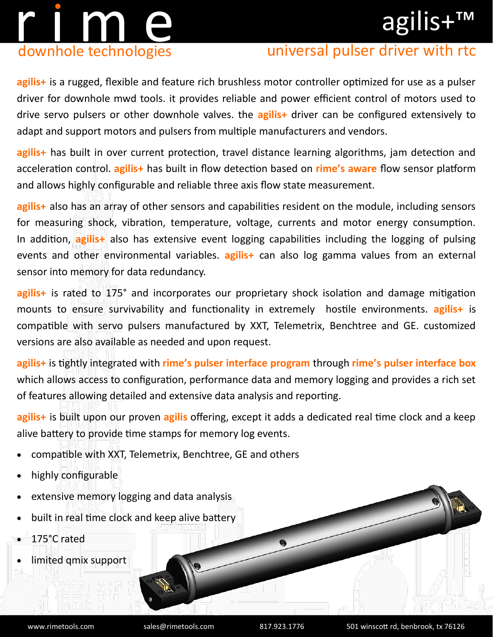## agilis+™



### universal pulser driver with rtc

**agilis+** is a rugged, flexible and feature rich brushless motor controller optimized for use as a pulser driver for downhole mwd tools. it provides reliable and power efficient control of motors used to drive servo pulsers or other downhole valves. the **agilis+** driver can be configured extensively to adapt and support motors and pulsers from multiple manufacturers and vendors.

**agilis+** has built in over current protection, travel distance learning algorithms, jam detection and acceleration control. **agilis+** has built in flow detection based on **rime's aware** flow sensor platform and allows highly configurable and reliable three axis flow state measurement.

**agilis+** also has an array of other sensors and capabilities resident on the module, including sensors for measuring shock, vibration, temperature, voltage, currents and motor energy consumption. In addition, **agilis+** also has extensive event logging capabilities including the logging of pulsing events and other environmental variables. **agilis+** can also log gamma values from an external sensor into memory for data redundancy.

**agilis+** is rated to 175° and incorporates our proprietary shock isolation and damage mitigation mounts to ensure survivability and functionality in extremely hostile environments. **agilis+** is compatible with servo pulsers manufactured by XXT, Telemetrix, Benchtree and GE. customized versions are also available as needed and upon request.

**agilis+** is tightly integrated with **rime's pulser interface program** through **rime's pulser interface box**  which allows access to configuration, performance data and memory logging and provides a rich set of features allowing detailed and extensive data analysis and reporting.

**agilis+** is built upon our proven **agilis** offering, except it adds a dedicated real time clock and a keep alive battery to provide time stamps for memory log events.

- compatible with XXT, Telemetrix, Benchtree, GE and others
- highly configurable
- extensive memory logging and data analysis
- built in real time clock and keep alive battery
- 175°C rated
- limited qmix support